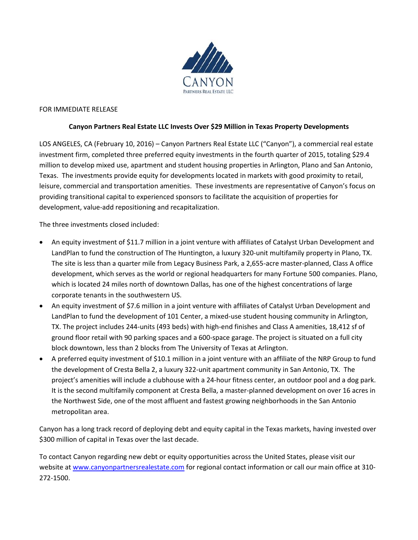

## FOR IMMEDIATE RELEASE

## **Canyon Partners Real Estate LLC Invests Over \$29 Million in Texas Property Developments**

LOS ANGELES, CA (February 10, 2016) – Canyon Partners Real Estate LLC ("Canyon"), a commercial real estate investment firm, completed three preferred equity investments in the fourth quarter of 2015, totaling \$29.4 million to develop mixed use, apartment and student housing properties in Arlington, Plano and San Antonio, Texas. The investments provide equity for developments located in markets with good proximity to retail, leisure, commercial and transportation amenities. These investments are representative of Canyon's focus on providing transitional capital to experienced sponsors to facilitate the acquisition of properties for development, value-add repositioning and recapitalization.

The three investments closed included:

- An equity investment of \$11.7 million in a joint venture with affiliates of Catalyst Urban Development and LandPlan to fund the construction of The Huntington, a luxury 320-unit multifamily property in Plano, TX. The site is less than a quarter mile from Legacy Business Park, a 2,655-acre master-planned, Class A office development, which serves as the world or regional headquarters for many Fortune 500 companies. Plano, which is located 24 miles north of downtown Dallas, has one of the highest concentrations of large corporate tenants in the southwestern US.
- An equity investment of \$7.6 million in a joint venture with affiliates of Catalyst Urban Development and LandPlan to fund the development of 101 Center, a mixed-use student housing community in Arlington, TX. The project includes 244-units (493 beds) with high-end finishes and Class A amenities, 18,412 sf of ground floor retail with 90 parking spaces and a 600-space garage. The project is situated on a full city block downtown, less than 2 blocks from The University of Texas at Arlington.
- A preferred equity investment of \$10.1 million in a joint venture with an affiliate of the NRP Group to fund the development of Cresta Bella 2, a luxury 322-unit apartment community in San Antonio, TX. The project's amenities will include a clubhouse with a 24-hour fitness center, an outdoor pool and a dog park. It is the second multifamily component at Cresta Bella, a master-planned development on over 16 acres in the Northwest Side, one of the most affluent and fastest growing neighborhoods in the San Antonio metropolitan area.

Canyon has a long track record of deploying debt and equity capital in the Texas markets, having invested over \$300 million of capital in Texas over the last decade.

To contact Canyon regarding new debt or equity opportunities across the United States, please visit our website a[t www.canyonpartnersrealestate.com](http://www.canyonpartnersrealestate.com/) for regional contact information or call our main office at 310-272-1500.